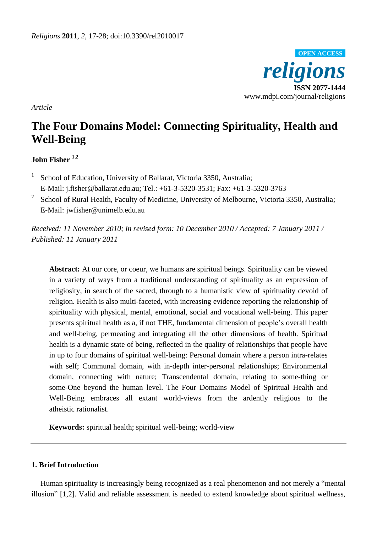

*Article*

# **The Four Domains Model: Connecting Spirituality, Health and Well-Being**

# **John Fisher 1,2**

- 1 School of Education, University of Ballarat, Victoria 3350, Australia; E-Mail: j.fisher@ballarat.edu.au; Tel.: +61-3-5320-3531; Fax: +61-3-5320-3763
- 2 School of Rural Health, Faculty of Medicine, University of Melbourne, Victoria 3350, Australia; E-Mail: jwfisher@unimelb.edu.au

*Received: 11 November 2010; in revised form: 10 December 2010 / Accepted: 7 January 2011 / Published: 11 January 2011*

**Abstract:** At our core, or coeur, we humans are spiritual beings. Spirituality can be viewed in a variety of ways from a traditional understanding of spirituality as an expression of religiosity, in search of the sacred, through to a humanistic view of spirituality devoid of religion. Health is also multi-faceted, with increasing evidence reporting the relationship of spirituality with physical, mental, emotional, social and vocational well-being. This paper presents spiritual health as a, if not THE, fundamental dimension of people"s overall health and well-being, permeating and integrating all the other dimensions of health. Spiritual health is a dynamic state of being, reflected in the quality of relationships that people have in up to four domains of spiritual well-being: Personal domain where a person intra-relates with self; Communal domain, with in-depth inter-personal relationships; Environmental domain, connecting with nature; Transcendental domain, relating to some-thing or some-One beyond the human level. The Four Domains Model of Spiritual Health and Well-Being embraces all extant world-views from the ardently religious to the atheistic rationalist.

**Keywords:** spiritual health; spiritual well-being; world-view

# **1. Brief Introduction**

Human spirituality is increasingly being recognized as a real phenomenon and not merely a "mental illusion" [1,2]. Valid and reliable assessment is needed to extend knowledge about spiritual wellness,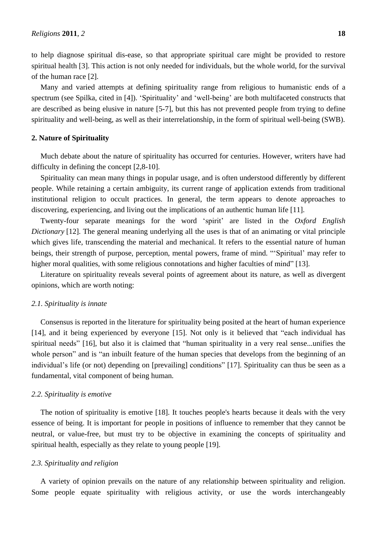to help diagnose spiritual dis-ease, so that appropriate spiritual care might be provided to restore spiritual health [3]. This action is not only needed for individuals, but the whole world, for the survival of the human race [2].

Many and varied attempts at defining spirituality range from religious to humanistic ends of a spectrum (see Spilka, cited in [4]). "Spirituality" and "well-being" are both multifaceted constructs that are described as being elusive in nature [5-7], but this has not prevented people from trying to define spirituality and well-being, as well as their interrelationship, in the form of spiritual well-being (SWB).

# **2. Nature of Spirituality**

Much debate about the nature of spirituality has occurred for centuries. However, writers have had difficulty in defining the concept [2,8-10].

Spirituality can mean many things in popular usage, and is often understood differently by different people. While retaining a certain ambiguity, its current range of application extends from traditional institutional religion to occult practices. In general, the term appears to denote approaches to discovering, experiencing, and living out the implications of an authentic human life [11].

Twenty-four separate meanings for the word "spirit" are listed in the *Oxford English Dictionary* [12]. The general meaning underlying all the uses is that of an animating or vital principle which gives life, transcending the material and mechanical. It refers to the essential nature of human beings, their strength of purpose, perception, mental powers, frame of mind. ""Spiritual" may refer to higher moral qualities, with some religious connotations and higher faculties of mind" [13].

Literature on spirituality reveals several points of agreement about its nature, as well as divergent opinions, which are worth noting:

# *2.1. Spirituality is innate*

Consensus is reported in the literature for spirituality being posited at the heart of human experience [14], and it being experienced by everyone [15]. Not only is it believed that "each individual has spiritual needs" [16], but also it is claimed that "human spirituality in a very real sense...unifies the whole person" and is "an inbuilt feature of the human species that develops from the beginning of an individual"s life (or not) depending on [prevailing] conditions" [17]. Spirituality can thus be seen as a fundamental, vital component of being human.

# *2.2. Spirituality is emotive*

The notion of spirituality is emotive [18]. It touches people's hearts because it deals with the very essence of being. It is important for people in positions of influence to remember that they cannot be neutral, or value-free, but must try to be objective in examining the concepts of spirituality and spiritual health, especially as they relate to young people [19].

# *2.3. Spirituality and religion*

A variety of opinion prevails on the nature of any relationship between spirituality and religion. Some people equate spirituality with religious activity, or use the words interchangeably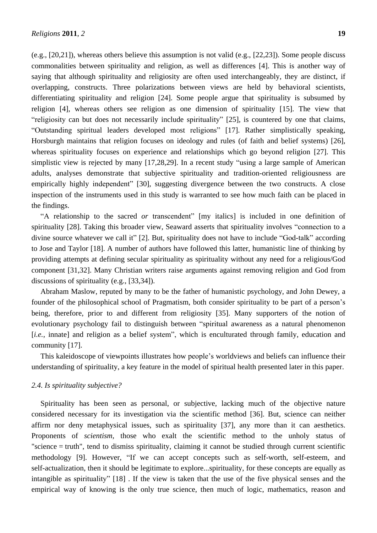(e.g., [20,21]), whereas others believe this assumption is not valid (e.g., [22,23]). Some people discuss commonalities between spirituality and religion, as well as differences [4]. This is another way of saying that although spirituality and religiosity are often used interchangeably, they are distinct, if overlapping, constructs. Three polarizations between views are held by behavioral scientists, differentiating spirituality and religion [24]. Some people argue that spirituality is subsumed by religion [4], whereas others see religion as one dimension of spirituality [15]. The view that "religiosity can but does not necessarily include spirituality" [25], is countered by one that claims, "Outstanding spiritual leaders developed most religions" [17]. Rather simplistically speaking, Horsburgh maintains that religion focuses on ideology and rules (of faith and belief systems) [26], whereas spirituality focuses on experience and relationships which go beyond religion [27]. This simplistic view is rejected by many [17,28,29]. In a recent study "using a large sample of American adults, analyses demonstrate that subjective spirituality and tradition-oriented religiousness are empirically highly independent" [30], suggesting divergence between the two constructs. A close inspection of the instruments used in this study is warranted to see how much faith can be placed in the findings.

"A relationship to the sacred *or* transcendent" [my italics] is included in one definition of spirituality [28]. Taking this broader view, Seaward asserts that spirituality involves "connection to a divine source whatever we call it" [2]. But, spirituality does not have to include "God-talk" according to Jose and Taylor [18]. A number of authors have followed this latter, humanistic line of thinking by providing attempts at defining secular spirituality as spirituality without any need for a religious/God component [31,32]. Many Christian writers raise arguments against removing religion and God from discussions of spirituality (e.g., [33,34]).

Abraham Maslow, reputed by many to be the father of humanistic psychology, and John Dewey, a founder of the philosophical school of Pragmatism, both consider spirituality to be part of a person"s being, therefore, prior to and different from religiosity [35]. Many supporters of the notion of evolutionary psychology fail to distinguish between "spiritual awareness as a natural phenomenon [*i.e.*, innate] and religion as a belief system", which is enculturated through family, education and community [17].

This kaleidoscope of viewpoints illustrates how people"s worldviews and beliefs can influence their understanding of spirituality, a key feature in the model of spiritual health presented later in this paper.

# *2.4. Is spirituality subjective?*

Spirituality has been seen as personal, or subjective, lacking much of the objective nature considered necessary for its investigation via the scientific method [36]. But, science can neither affirm nor deny metaphysical issues, such as spirituality [37], any more than it can aesthetics. Proponents of *scientism,* those who exalt the scientific method to the unholy status of "science = truth", tend to dismiss spirituality, claiming it cannot be studied through current scientific methodology [9]. However, "If we can accept concepts such as self-worth, self-esteem, and self-actualization, then it should be legitimate to explore...spirituality, for these concepts are equally as intangible as spirituality" [18] . If the view is taken that the use of the five physical senses and the empirical way of knowing is the only true science, then much of logic, mathematics, reason and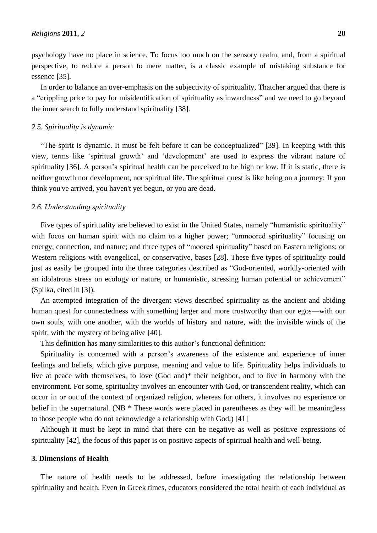psychology have no place in science. To focus too much on the sensory realm, and, from a spiritual perspective, to reduce a person to mere matter, is a classic example of mistaking substance for essence [35].

In order to balance an over-emphasis on the subjectivity of spirituality, Thatcher argued that there is a "crippling price to pay for misidentification of spirituality as inwardness" and we need to go beyond the inner search to fully understand spirituality [38].

#### *2.5. Spirituality is dynamic*

"The spirit is dynamic. It must be felt before it can be conceptualized" [39]. In keeping with this view, terms like "spiritual growth" and "development" are used to express the vibrant nature of spirituality [36]. A person's spiritual health can be perceived to be high or low. If it is static, there is neither growth nor development, nor spiritual life. The spiritual quest is like being on a journey: If you think you've arrived, you haven't yet begun, or you are dead.

# *2.6. Understanding spirituality*

Five types of spirituality are believed to exist in the United States, namely "humanistic spirituality" with focus on human spirit with no claim to a higher power; "unmoored spirituality" focusing on energy, connection, and nature; and three types of "moored spirituality" based on Eastern religions; or Western religions with evangelical, or conservative, bases [28]. These five types of spirituality could just as easily be grouped into the three categories described as "God-oriented, worldly-oriented with an idolatrous stress on ecology or nature, or humanistic, stressing human potential or achievement" (Spilka, cited in [3]).

An attempted integration of the divergent views described spirituality as the ancient and abiding human quest for connectedness with something larger and more trustworthy than our egos—with our own souls, with one another, with the worlds of history and nature, with the invisible winds of the spirit, with the mystery of being alive [40].

This definition has many similarities to this author"s functional definition:

Spirituality is concerned with a person"s awareness of the existence and experience of inner feelings and beliefs, which give purpose, meaning and value to life. Spirituality helps individuals to live at peace with themselves, to love (God and)\* their neighbor, and to live in harmony with the environment. For some, spirituality involves an encounter with God, or transcendent reality, which can occur in or out of the context of organized religion, whereas for others, it involves no experience or belief in the supernatural. (NB  $*$  These words were placed in parentheses as they will be meaningless to those people who do not acknowledge a relationship with God.) [41]

Although it must be kept in mind that there can be negative as well as positive expressions of spirituality [42], the focus of this paper is on positive aspects of spiritual health and well-being.

#### **3. Dimensions of Health**

The nature of health needs to be addressed, before investigating the relationship between spirituality and health. Even in Greek times, educators considered the total health of each individual as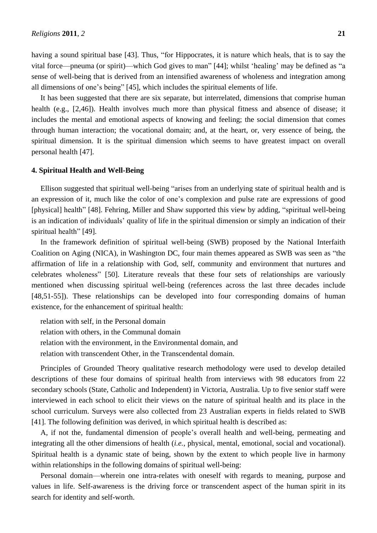having a sound spiritual base [43]. Thus, "for Hippocrates, it is nature which heals, that is to say the vital force—pneuma (or spirit)—which God gives to man" [44]; whilst "healing" may be defined as "a sense of well-being that is derived from an intensified awareness of wholeness and integration among all dimensions of one"s being" [45], which includes the spiritual elements of life.

It has been suggested that there are six separate, but interrelated, dimensions that comprise human health (e.g., [2,46]). Health involves much more than physical fitness and absence of disease; it includes the mental and emotional aspects of knowing and feeling; the social dimension that comes through human interaction; the vocational domain; and, at the heart, or, very essence of being, the spiritual dimension. It is the spiritual dimension which seems to have greatest impact on overall personal health [47].

# **4. Spiritual Health and Well-Being**

Ellison suggested that spiritual well-being "arises from an underlying state of spiritual health and is an expression of it, much like the color of one"s complexion and pulse rate are expressions of good [physical] health" [48]. Fehring, Miller and Shaw supported this view by adding, "spiritual well-being is an indication of individuals" quality of life in the spiritual dimension or simply an indication of their spiritual health" [49].

In the framework definition of spiritual well-being (SWB) proposed by the National Interfaith Coalition on Aging (NICA), in Washington DC, four main themes appeared as SWB was seen as "the affirmation of life in a relationship with God, self, community and environment that nurtures and celebrates wholeness" [50]. Literature reveals that these four sets of relationships are variously mentioned when discussing spiritual well-being (references across the last three decades include [48,51-55]). These relationships can be developed into four corresponding domains of human existence, for the enhancement of spiritual health:

relation with self, in the Personal domain relation with others, in the Communal domain relation with the environment, in the Environmental domain, and relation with transcendent Other, in the Transcendental domain.

Principles of Grounded Theory qualitative research methodology were used to develop detailed descriptions of these four domains of spiritual health from interviews with 98 educators from 22 secondary schools (State, Catholic and Independent) in Victoria, Australia. Up to five senior staff were interviewed in each school to elicit their views on the nature of spiritual health and its place in the school curriculum. Surveys were also collected from 23 Australian experts in fields related to SWB [41]. The following definition was derived, in which spiritual health is described as:

A, if not the, fundamental dimension of people"s overall health and well-being, permeating and integrating all the other dimensions of health (*i.e.*, physical, mental, emotional, social and vocational). Spiritual health is a dynamic state of being, shown by the extent to which people live in harmony within relationships in the following domains of spiritual well-being:

Personal domain—wherein one intra-relates with oneself with regards to meaning, purpose and values in life. Self-awareness is the driving force or transcendent aspect of the human spirit in its search for identity and self-worth.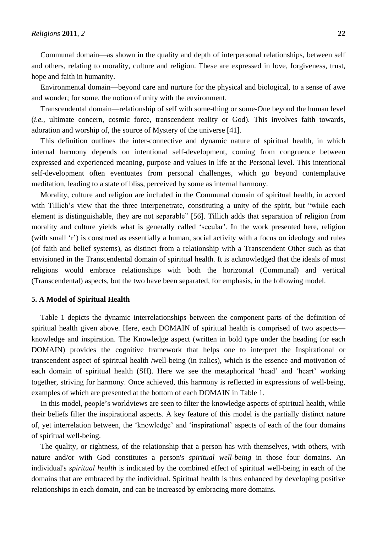Communal domain—as shown in the quality and depth of interpersonal relationships, between self and others, relating to morality, culture and religion. These are expressed in love, forgiveness, trust, hope and faith in humanity.

Environmental domain—beyond care and nurture for the physical and biological, to a sense of awe and wonder; for some, the notion of unity with the environment.

Transcendental domain—relationship of self with some-thing or some-One beyond the human level (*i.e.*, ultimate concern, cosmic force, transcendent reality or God). This involves faith towards, adoration and worship of, the source of Mystery of the universe [41].

This definition outlines the inter-connective and dynamic nature of spiritual health, in which internal harmony depends on intentional self-development, coming from congruence between expressed and experienced meaning, purpose and values in life at the Personal level. This intentional self-development often eventuates from personal challenges, which go beyond contemplative meditation, leading to a state of bliss, perceived by some as internal harmony.

Morality, culture and religion are included in the Communal domain of spiritual health, in accord with Tillich's view that the three interpenetrate, constituting a unity of the spirit, but "while each element is distinguishable, they are not separable" [56]. Tillich adds that separation of religion from morality and culture yields what is generally called "secular". In the work presented here, religion (with small "r") is construed as essentially a human, social activity with a focus on ideology and rules (of faith and belief systems), as distinct from a relationship with a Transcendent Other such as that envisioned in the Transcendental domain of spiritual health. It is acknowledged that the ideals of most religions would embrace relationships with both the horizontal (Communal) and vertical (Transcendental) aspects, but the two have been separated, for emphasis, in the following model.

# **5. A Model of Spiritual Health**

Table 1 depicts the dynamic interrelationships between the component parts of the definition of spiritual health given above. Here, each DOMAIN of spiritual health is comprised of two aspects knowledge and inspiration. The Knowledge aspect (written in bold type under the heading for each DOMAIN) provides the cognitive framework that helps one to interpret the Inspirational or transcendent aspect of spiritual health /well-being (in italics), which is the essence and motivation of each domain of spiritual health (SH). Here we see the metaphorical 'head' and 'heart' working together, striving for harmony. Once achieved, this harmony is reflected in expressions of well-being, examples of which are presented at the bottom of each DOMAIN in Table 1.

In this model, people"s worldviews are seen to filter the knowledge aspects of spiritual health, while their beliefs filter the inspirational aspects. A key feature of this model is the partially distinct nature of, yet interrelation between, the "knowledge" and "inspirational" aspects of each of the four domains of spiritual well-being.

The quality, or rightness, of the relationship that a person has with themselves, with others, with nature and/or with God constitutes a person's *spiritual well-being* in those four domains. An individual's *spiritual health* is indicated by the combined effect of spiritual well-being in each of the domains that are embraced by the individual. Spiritual health is thus enhanced by developing positive relationships in each domain, and can be increased by embracing more domains.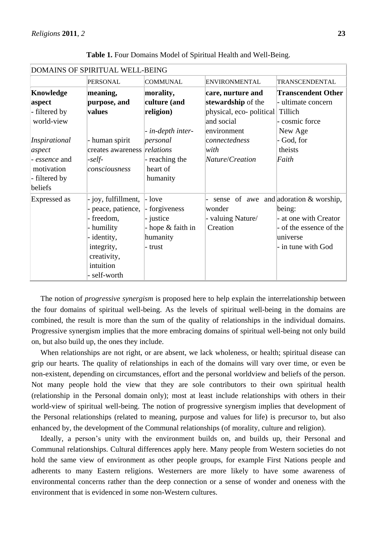| DOMAINS OF SPIRITUAL WELL-BEING |                             |                   |                                  |                                         |
|---------------------------------|-----------------------------|-------------------|----------------------------------|-----------------------------------------|
|                                 | <b>PERSONAL</b>             | <b>COMMUNAL</b>   | <b>ENVIRONMENTAL</b>             | TRANSCENDENTAL                          |
| <b>Knowledge</b>                | meaning,                    | morality,         | care, nurture and                | <b>Transcendent Other</b>               |
| aspect                          | purpose, and                | culture (and      | stewardship of the               | - ultimate concern                      |
| - filtered by                   | values                      | religion)         | physical, eco- political Tillich |                                         |
| world-view                      |                             |                   | and social                       | - cosmic force                          |
|                                 |                             | - in-depth inter- | environment                      | New Age                                 |
| Inspirational                   | - human spirit              | personal          | connectedness                    | - God, for                              |
| aspect                          | creates awareness relations |                   | with                             | theists                                 |
| - essence and                   | $-self-$                    | - reaching the    | Nature/Creation                  | Faith                                   |
| motivation                      | consciousness               | heart of          |                                  |                                         |
| - filtered by                   |                             | humanity          |                                  |                                         |
| beliefs                         |                             |                   |                                  |                                         |
| Expressed as                    | - joy, fulfillment,         | $-$ love          |                                  | sense of awe and adoration $&$ worship, |
|                                 | - peace, patience,          | - forgiveness     | wonder                           | being:                                  |
|                                 | - freedom,                  | - justice         | valuing Nature/                  | - at one with Creator                   |
|                                 | - humility                  | - hope & faith in | Creation                         | - of the essence of the                 |
|                                 | - identity,                 | humanity          |                                  | universe                                |
|                                 | integrity,                  | - trust           |                                  | - in tune with God                      |
|                                 | creativity,                 |                   |                                  |                                         |
|                                 | intuition                   |                   |                                  |                                         |
|                                 | self-worth                  |                   |                                  |                                         |

**Table 1.** Four Domains Model of Spiritual Health and Well-Being.

The notion of *progressive synergism* is proposed here to help explain the interrelationship between the four domains of spiritual well-being. As the levels of spiritual well-being in the domains are combined, the result is more than the sum of the quality of relationships in the individual domains. Progressive synergism implies that the more embracing domains of spiritual well-being not only build on, but also build up, the ones they include.

When relationships are not right, or are absent, we lack wholeness, or health; spiritual disease can grip our hearts. The quality of relationships in each of the domains will vary over time, or even be non-existent, depending on circumstances, effort and the personal worldview and beliefs of the person. Not many people hold the view that they are sole contributors to their own spiritual health (relationship in the Personal domain only); most at least include relationships with others in their world-view of spiritual well-being. The notion of progressive synergism implies that development of the Personal relationships (related to meaning, purpose and values for life) is precursor to, but also enhanced by, the development of the Communal relationships (of morality, culture and religion).

Ideally, a person's unity with the environment builds on, and builds up, their Personal and Communal relationships. Cultural differences apply here. Many people from Western societies do not hold the same view of environment as other people groups, for example First Nations people and adherents to many Eastern religions. Westerners are more likely to have some awareness of environmental concerns rather than the deep connection or a sense of wonder and oneness with the environment that is evidenced in some non-Western cultures.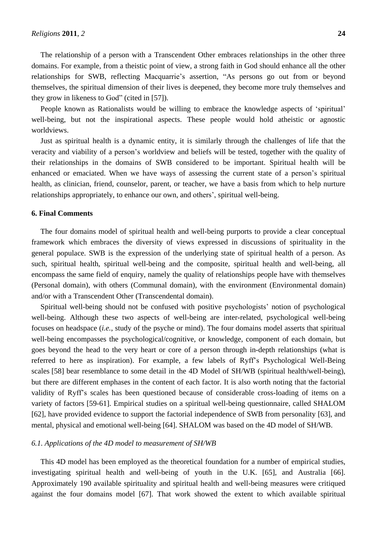The relationship of a person with a Transcendent Other embraces relationships in the other three domains. For example, from a theistic point of view, a strong faith in God should enhance all the other relationships for SWB, reflecting Macquarrie's assertion, "As persons go out from or beyond themselves, the spiritual dimension of their lives is deepened, they become more truly themselves and they grow in likeness to God" (cited in [57]).

People known as Rationalists would be willing to embrace the knowledge aspects of 'spiritual' well-being, but not the inspirational aspects. These people would hold atheistic or agnostic worldviews.

Just as spiritual health is a dynamic entity, it is similarly through the challenges of life that the veracity and viability of a person"s worldview and beliefs will be tested, together with the quality of their relationships in the domains of SWB considered to be important. Spiritual health will be enhanced or emaciated. When we have ways of assessing the current state of a person's spiritual health, as clinician, friend, counselor, parent, or teacher, we have a basis from which to help nurture relationships appropriately, to enhance our own, and others", spiritual well-being.

# **6. Final Comments**

The four domains model of spiritual health and well-being purports to provide a clear conceptual framework which embraces the diversity of views expressed in discussions of spirituality in the general populace. SWB is the expression of the underlying state of spiritual health of a person. As such, spiritual health, spiritual well-being and the composite, spiritual health and well-being, all encompass the same field of enquiry, namely the quality of relationships people have with themselves (Personal domain), with others (Communal domain), with the environment (Environmental domain) and/or with a Transcendent Other (Transcendental domain).

Spiritual well-being should not be confused with positive psychologists" notion of psychological well-being. Although these two aspects of well-being are inter-related, psychological well-being focuses on headspace (*i.e.*, study of the psyche or mind). The four domains model asserts that spiritual well-being encompasses the psychological/cognitive, or knowledge, component of each domain, but goes beyond the head to the very heart or core of a person through in-depth relationships (what is referred to here as inspiration). For example, a few labels of Ryff"s Psychological Well-Being scales [58] bear resemblance to some detail in the 4D Model of SH/WB (spiritual health/well-being), but there are different emphases in the content of each factor. It is also worth noting that the factorial validity of Ryff"s scales has been questioned because of considerable cross-loading of items on a variety of factors [59-61]. Empirical studies on a spiritual well-being questionnaire, called SHALOM [62], have provided evidence to support the factorial independence of SWB from personality [63], and mental, physical and emotional well-being [64]. SHALOM was based on the 4D model of SH/WB.

#### *6.1. Applications of the 4D model to measurement of SH/WB*

This 4D model has been employed as the theoretical foundation for a number of empirical studies, investigating spiritual health and well-being of youth in the U.K. [65], and Australia [66]. Approximately 190 available spirituality and spiritual health and well-being measures were critiqued against the four domains model [67]. That work showed the extent to which available spiritual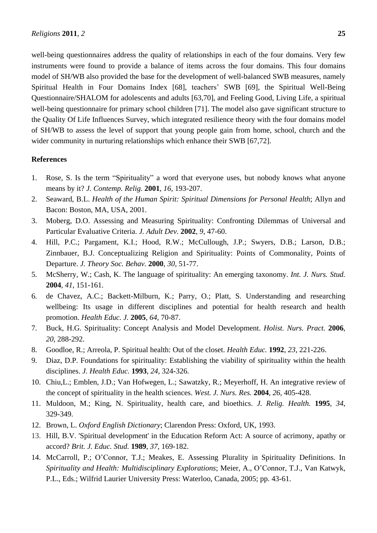well-being questionnaires address the quality of relationships in each of the four domains. Very few instruments were found to provide a balance of items across the four domains. This four domains model of SH/WB also provided the base for the development of well-balanced SWB measures, namely Spiritual Health in Four Domains Index [68], teachers' SWB [69], the Spiritual Well-Being Questionnaire/SHALOM for adolescents and adults [63,70], and Feeling Good, Living Life, a spiritual well-being questionnaire for primary school children [71]. The model also gave significant structure to the Quality Of Life Influences Survey, which integrated resilience theory with the four domains model of SH/WB to assess the level of support that young people gain from home, school, church and the wider community in nurturing relationships which enhance their SWB [67,72].

# **References**

- 1. Rose, S. Is the term "Spirituality" a word that everyone uses, but nobody knows what anyone means by it? *J. Contemp. Relig.* **2001**, *16*, 193-207.
- 2. Seaward, B.L. *Health of the Human Spirit: Spiritual Dimensions for Personal Health*; Allyn and Bacon: Boston, MA, USA, 2001.
- 3. Moberg, D.O. Assessing and Measuring Spirituality: Confronting Dilemmas of Universal and Particular Evaluative Criteria. *J. Adult Dev.* **2002**, *9*, 47-60.
- 4. Hill, P.C.; Pargament, K.I.; Hood, R.W.; McCullough, J.P.; Swyers, D.B.; Larson, D.B.; Zinnbauer, B.J. Conceptualizing Religion and Spirituality: Points of Commonality, Points of Departure. *J. Theory Soc. Behav.* **2000**, *30*, 51-77.
- 5. McSherry, W.; Cash, K. The language of spirituality: An emerging taxonomy. *Int. J. Nurs. Stud.* **2004**, *41*, 151-161.
- 6. de Chavez, A.C.; Backett-Milburn, K.; Parry, O.; Platt, S. Understanding and researching wellbeing: Its usage in different disciplines and potential for health research and health promotion. *Health Educ. J.* **2005**, *64*, 70-87.
- 7. Buck, H.G. Spirituality: Concept Analysis and Model Development. *Holist. Nurs. Pract.* **2006**, *20*, 288-292.
- 8. Goodloe, R.; Arreola, P. Spiritual health: Out of the closet. *Health Educ.* **1992**, *23*, 221-226.
- 9. Diaz, D.P. Foundations for spirituality: Establishing the viability of spirituality within the health disciplines. *J. Health Educ.* **1993**, *24*, 324-326.
- 10. Chiu,L.; Emblen, J.D.; Van Hofwegen, L.; Sawatzky, R.; Meyerhoff, H. An integrative review of the concept of spirituality in the health sciences. *West. J. Nurs. Res.* **2004**, *26*, 405-428.
- 11. Muldoon, M.; King, N. Spirituality, health care, and bioethics. *J. Relig. Health.* **1995**, *34*, 329-349.
- 12. Brown, L. *Oxford English Dictionary*; Clarendon Press: Oxford, UK, 1993.
- 13. Hill, B.V. 'Spiritual development' in the Education Reform Act: A source of acrimony, apathy or accord? *Brit. J. Educ. Stud.* **1989**, *37*, 169-182.
- 14. McCarroll, P.; O"Connor, T.J.; Meakes, E. Assessing Plurality in Spirituality Definitions. In *Spirituality and Health: Multidisciplinary Explorations*; Meier, A., O"Connor, T.J., Van Katwyk, P.L., Eds.; Wilfrid Laurier University Press: Waterloo, Canada, 2005; pp. 43-61.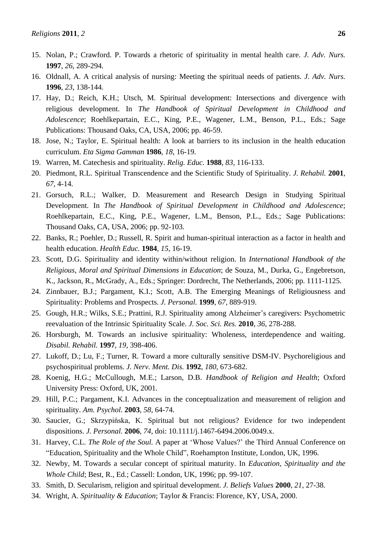- 15. Nolan, P.; Crawford. P. Towards a rhetoric of spirituality in mental health care. *J. Adv. Nurs.* **1997**, *26*, 289-294.
- 16. Oldnall, A. A critical analysis of nursing: Meeting the spiritual needs of patients. *J. Adv. Nurs.* **1996**, *23*, 138-144.
- 17. Hay, D.; Reich, K.H.; Utsch, M. Spiritual development: Intersections and divergence with religious development. In *The Handbook of Spiritual Development in Childhood and Adolescence*; Roehlkepartain, E.C., King, P.E., Wagener, L.M., Benson, P.L., Eds.; Sage Publications: Thousand Oaks, CA, USA, 2006; pp. 46-59.
- 18. Jose, N.; Taylor, E. Spiritual health: A look at barriers to its inclusion in the health education curriculum. *Eta Sigma Gamman* **1986**, *18*, 16-19.
- 19. Warren, M. Catechesis and spirituality. *Relig. Educ.* **1988**, *83*, 116-133.
- 20. Piedmont, R.L. Spiritual Transcendence and the Scientific Study of Spirituality. *J. Rehabil.* **2001**, *67*, 4-14.
- 21. Gorsuch, R.L.; Walker, D. Measurement and Research Design in Studying Spiritual Development. In *The Handbook of Spiritual Development in Childhood and Adolescence*; Roehlkepartain, E.C., King, P.E., Wagener, L.M., Benson, P.L., Eds.; Sage Publications: Thousand Oaks, CA, USA, 2006; pp. 92-103.
- 22. Banks, R.; Poehler, D.; Russell, R. Spirit and human-spiritual interaction as a factor in health and health education. *Health Educ.* **1984**, *15*, 16-19.
- 23. Scott, D.G. Spirituality and identity within/without religion. In *International Handbook of the Religious, Moral and Spiritual Dimensions in Education*; de Souza, M., Durka, G., Engebretson, K., Jackson, R., McGrady, A., Eds.; Springer: Dordrecht, The Netherlands, 2006; pp. 1111-1125.
- 24. Zinnbauer, B.J.; Pargament, K.I.; Scott, A.B. The Emerging Meanings of Religiousness and Spirituality: Problems and Prospects. *J. Personal.* **1999**, *67*, 889-919.
- 25. Gough, H.R.; Wilks, S.E.; Prattini, R.J. Spirituality among Alzheimer"s caregivers: Psychometric reevaluation of the Intrinsic Spirituality Scale. *J. Soc. Sci. Res.* **2010**, *36*, 278-288.
- 26. Horsburgh, M. Towards an inclusive spirituality: Wholeness, interdependence and waiting. *Disabil. Rehabil.* **1997**, *19*, 398-406.
- 27. Lukoff, D.; Lu, F.; Turner, R. Toward a more culturally sensitive DSM-IV. Psychoreligious and psychospiritual problems. *J. Nerv. Ment. Dis.* **1992**, *180*, 673-682.
- 28. Koenig, H.G.; McCullough, M.E.; Larson, D.B. *Handbook of Religion and Health*; Oxford University Press: Oxford, UK, 2001*.*
- 29. Hill, P.C.; Pargament, K.I. Advances in the conceptualization and measurement of religion and spirituality. *Am. Psychol.* **2003**, *58*, 64-74.
- 30. Saucier, G.; Skrzypińska, K. Spiritual but not religious? Evidence for two independent dispositions. *J. Personal.* **2006**, *74*, doi: 10.1111/j.1467-6494.2006.0049.x.
- 31. Harvey, C.L. *The Role of the Soul.* A paper at "Whose Values?" the Third Annual Conference on "Education, Spirituality and the Whole Child", Roehampton Institute, London, UK, 1996.
- 32. Newby, M. Towards a secular concept of spiritual maturity. In *Education, Spirituality and the Whole Child*; Best, R., Ed.; Cassell: London, UK, 1996; pp. 99-107.
- 33. Smith, D. Secularism, religion and spiritual development. *J. Beliefs Values* **2000**, *21*, 27-38.
- 34. Wright, A. *Spirituality & Education*; Taylor & Francis: Florence, KY, USA, 2000.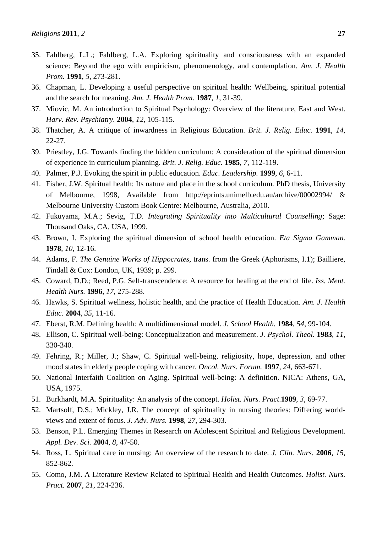- 35. Fahlberg, L.L.; Fahlberg, L.A. Exploring spirituality and consciousness with an expanded science: Beyond the ego with empiricism, phenomenology, and contemplation. *Am. J. Health Prom.* **1991**, *5*, 273-281.
- 36. Chapman, L. Developing a useful perspective on spiritual health: Wellbeing, spiritual potential and the search for meaning. *Am. J. Health Prom.* **1987**, *1*, 31-39.
- 37. Miovic, M. An introduction to Spiritual Psychology: Overview of the literature, East and West. *Harv. Rev. Psychiatry.* **2004**, *12*, 105-115.
- 38. Thatcher, A. A critique of inwardness in Religious Education. *Brit. J. Relig. Educ.* **1991**, *14*, 22-27.
- 39. Priestley, J.G. Towards finding the hidden curriculum: A consideration of the spiritual dimension of experience in curriculum planning. *Brit. J. Relig. Educ.* **1985**, *7*, 112-119.
- 40. Palmer, P.J. Evoking the spirit in public education. *Educ. Leadership.* **1999**, *6*, 6-11.
- 41. Fisher, J.W. Spiritual health: Its nature and place in the school curriculum*.* PhD thesis, University of Melbourne, 1998, Available from http://eprints.unimelb.edu.au/archive/00002994/ & Melbourne University Custom Book Centre: Melbourne, Australia, 2010.
- 42. Fukuyama, M.A.; Sevig, T.D. *Integrating Spirituality into Multicultural Counselling*; Sage: Thousand Oaks, CA, USA, 1999.
- 43. Brown, I. Exploring the spiritual dimension of school health education. *Eta Sigma Gamman.* **1978**, *10*, 12-16.
- 44. Adams, F. *The Genuine Works of Hippocrates*, trans. from the Greek (Aphorisms, I.1); Bailliere, Tindall & Cox: London, UK, 1939; p. 299.
- 45. Coward, D.D.; Reed, P.G. Self-transcendence: A resource for healing at the end of life. *Iss. Ment. Health Nurs.* **1996**, *17*, 275-288.
- 46. Hawks, S. Spiritual wellness, holistic health, and the practice of Health Education. *Am. J. Health Educ.* **2004**, *35*, 11-16.
- 47. Eberst, R.M. Defining health: A multidimensional model. *J. School Health.* **1984**, *54*, 99-104.
- 48. Ellison, C. Spiritual well-being: Conceptualization and measurement. *J. Psychol. Theol.* **1983**, *11*, 330-340.
- 49. Fehring, R.; Miller, J.; Shaw, C. Spiritual well-being, religiosity, hope, depression, and other mood states in elderly people coping with cancer. *Oncol. Nurs. Forum.* **1997**, *24*, 663-671.
- 50. National Interfaith Coalition on Aging. Spiritual well-being: A definition. NICA: Athens, GA, USA, 1975.
- 51. Burkhardt, M.A. Spirituality: An analysis of the concept. *Holist. Nurs. Pract*.**1989**, *3*, 69-77.
- 52. Martsolf, D.S.; Mickley, J.R. The concept of spirituality in nursing theories: Differing worldviews and extent of focus. *J. Adv. Nurs.* **1998**, *27*, 294-303.
- 53. Benson, P.L. Emerging Themes in Research on Adolescent Spiritual and Religious Development. *Appl. Dev. Sci.* **2004**, *8*, 47-50.
- 54. Ross, L. Spiritual care in nursing: An overview of the research to date. *J. Clin. Nurs.* **2006**, *15*, 852-862.
- 55. Como, J.M. A Literature Review Related to Spiritual Health and Health Outcomes. *Holist. Nurs. Pract.* **2007**, *21*, 224-236.